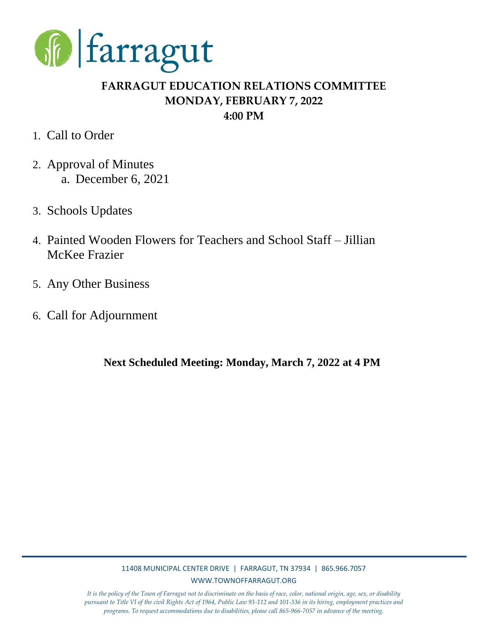

# **FARRAGUT EDUCATION RELATIONS COMMITTEE MONDAY, FEBRUARY 7, 2022 4:00 PM**

- 1. Call to Order
- 2. Approval of Minutes a. December 6, 2021
- 3. Schools Updates
- 4. Painted Wooden Flowers for Teachers and School Staff Jillian McKee Frazier
- 5. Any Other Business
- 6. Call for Adjournment

**Next Scheduled Meeting: Monday, March 7, 2022 at 4 PM**

## 11408 MUNICIPAL CENTER DRIVE | FARRAGUT, TN 37934 | 865.966.7057 WWW.TOWNOFFARRAGUT.ORG

*It is the policy of the Town of Farragut not to discriminate on the basis of race, color, national origin, age, sex, or disability pursuant to Title VI of the civil Rights Act of 1964, Public Law 93-112 and 101-336 in its hiring, employment practices and programs. To request accommodations due to disabilities, please call 865-966-7057 in advance of the meeting.*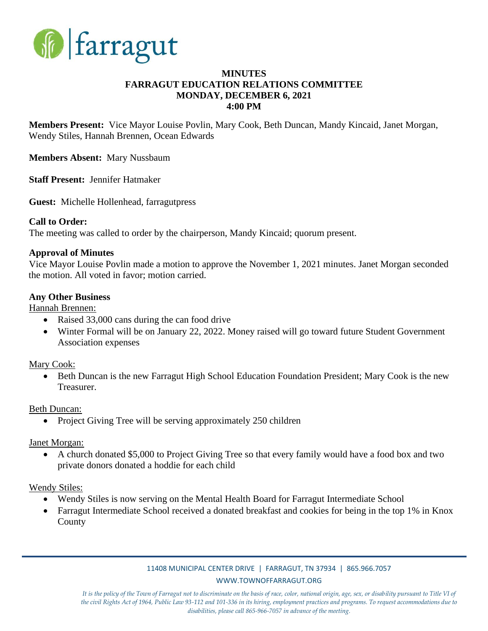

### **MINUTES FARRAGUT EDUCATION RELATIONS COMMITTEE MONDAY, DECEMBER 6, 2021 4:00 PM**

**Members Present:** Vice Mayor Louise Povlin, Mary Cook, Beth Duncan, Mandy Kincaid, Janet Morgan, Wendy Stiles, Hannah Brennen, Ocean Edwards

**Members Absent:** Mary Nussbaum

**Staff Present:** Jennifer Hatmaker

**Guest:** Michelle Hollenhead, farragutpress

#### **Call to Order:**

The meeting was called to order by the chairperson, Mandy Kincaid; quorum present.

#### **Approval of Minutes**

Vice Mayor Louise Povlin made a motion to approve the November 1, 2021 minutes. Janet Morgan seconded the motion. All voted in favor; motion carried.

#### **Any Other Business**

Hannah Brennen:

- Raised 33,000 cans during the can food drive
- Winter Formal will be on January 22, 2022. Money raised will go toward future Student Government Association expenses

Mary Cook:

• Beth Duncan is the new Farragut High School Education Foundation President; Mary Cook is the new Treasurer.

Beth Duncan:

• Project Giving Tree will be serving approximately 250 children

Janet Morgan:

• A church donated \$5,000 to Project Giving Tree so that every family would have a food box and two private donors donated a hoddie for each child

Wendy Stiles:

- Wendy Stiles is now serving on the Mental Health Board for Farragut Intermediate School
- Farragut Intermediate School received a donated breakfast and cookies for being in the top 1% in Knox County

#### 11408 MUNICIPAL CENTER DRIVE | FARRAGUT, TN 37934 | 865.966.7057 WWW.TOWNOFFARRAGUT.ORG

*It is the policy of the Town of Farragut not to discriminate on the basis of race, color, national origin, age, sex, or disability pursuant to Title VI of the civil Rights Act of 1964, Public Law 93-112 and 101-336 in its hiring, employment practices and programs. To request accommodations due to disabilities, please call 865-966-7057 in advance of the meeting.*